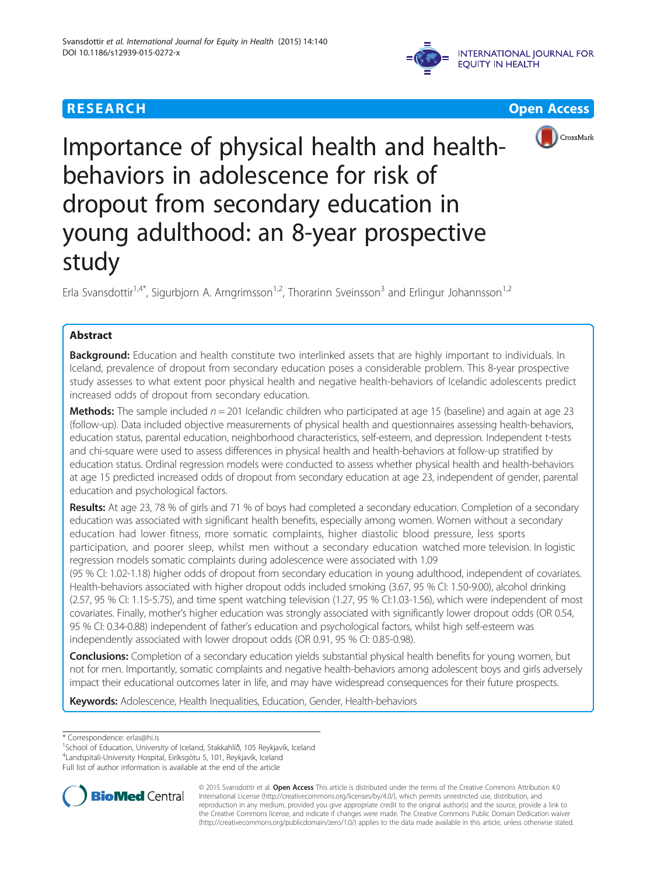







# Importance of physical health and healthbehaviors in adolescence for risk of dropout from secondary education in young adulthood: an 8-year prospective study

Erla Svansdottir<sup>1,4\*</sup>, Sigurbjorn A. Arngrimsson<sup>1,2</sup>, Thorarinn Sveinsson<sup>3</sup> and Erlingur Johannsson<sup>1,2</sup>

# Abstract

Background: Education and health constitute two interlinked assets that are highly important to individuals. In Iceland, prevalence of dropout from secondary education poses a considerable problem. This 8-year prospective study assesses to what extent poor physical health and negative health-behaviors of Icelandic adolescents predict increased odds of dropout from secondary education.

**Methods:** The sample included  $n = 201$  Icelandic children who participated at age 15 (baseline) and again at age 23 (follow-up). Data included objective measurements of physical health and questionnaires assessing health-behaviors, education status, parental education, neighborhood characteristics, self-esteem, and depression. Independent t-tests and chi-square were used to assess differences in physical health and health-behaviors at follow-up stratified by education status. Ordinal regression models were conducted to assess whether physical health and health-behaviors at age 15 predicted increased odds of dropout from secondary education at age 23, independent of gender, parental education and psychological factors.

Results: At age 23, 78 % of girls and 71 % of boys had completed a secondary education. Completion of a secondary education was associated with significant health benefits, especially among women. Women without a secondary education had lower fitness, more somatic complaints, higher diastolic blood pressure, less sports participation, and poorer sleep, whilst men without a secondary education watched more television. In logistic regression models somatic complaints during adolescence were associated with 1.09

(95 % CI: 1.02-1.18) higher odds of dropout from secondary education in young adulthood, independent of covariates. Health-behaviors associated with higher dropout odds included smoking (3.67, 95 % CI: 1.50-9.00), alcohol drinking (2.57, 95 % CI: 1.15-5.75), and time spent watching television (1.27, 95 % CI:1.03-1.56), which were independent of most covariates. Finally, mother's higher education was strongly associated with significantly lower dropout odds (OR 0.54, 95 % CI: 0.34-0.88) independent of father's education and psychological factors, whilst high self-esteem was independently associated with lower dropout odds (OR 0.91, 95 % CI: 0.85-0.98).

Conclusions: Completion of a secondary education yields substantial physical health benefits for young women, but not for men. Importantly, somatic complaints and negative health-behaviors among adolescent boys and girls adversely impact their educational outcomes later in life, and may have widespread consequences for their future prospects.

Keywords: Adolescence, Health Inequalities, Education, Gender, Health-behaviors

<sup>1</sup>School of Education, University of Iceland, Stakkahlíð, 105 Reykjavík, Iceland 4 Landspitali-University Hospital, Eiríksgötu 5, 101, Reykjavík, Iceland

Full list of author information is available at the end of the article



© 2015 Svansdottir et al. Open Access This article is distributed under the terms of the Creative Commons Attribution 4.0 International License [\(http://creativecommons.org/licenses/by/4.0/](http://creativecommons.org/licenses/by/4.0/)), which permits unrestricted use, distribution, and reproduction in any medium, provided you give appropriate credit to the original author(s) and the source, provide a link to the Creative Commons license, and indicate if changes were made. The Creative Commons Public Domain Dedication waiver [\(http://creativecommons.org/publicdomain/zero/1.0/](http://creativecommons.org/publicdomain/zero/1.0/)) applies to the data made available in this article, unless otherwise stated.

<sup>\*</sup> Correspondence: [erlas@hi.is](mailto:erlas@hi.is) <sup>1</sup>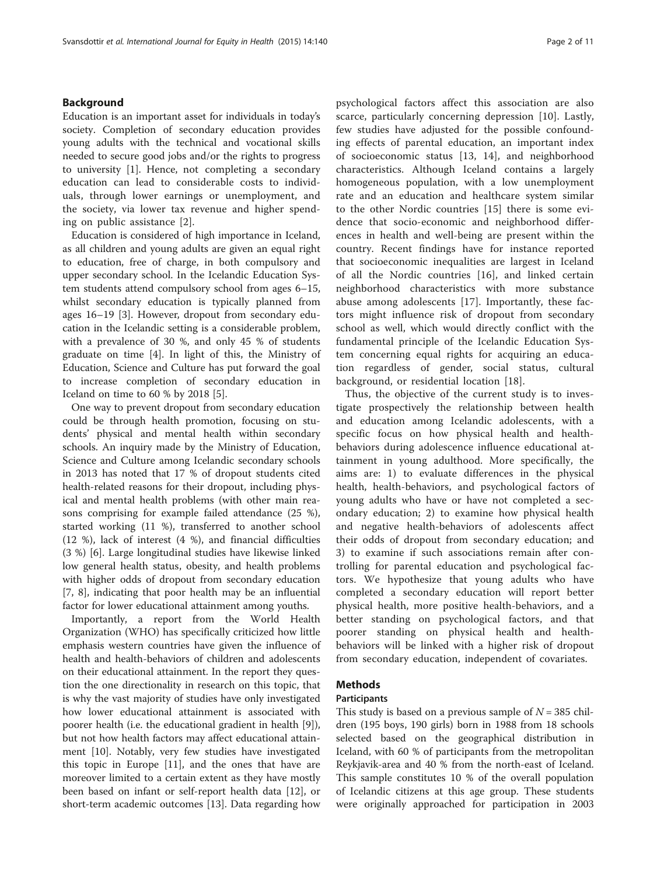# Background

Education is an important asset for individuals in today's society. Completion of secondary education provides young adults with the technical and vocational skills needed to secure good jobs and/or the rights to progress to university [[1\]](#page-9-0). Hence, not completing a secondary education can lead to considerable costs to individuals, through lower earnings or unemployment, and the society, via lower tax revenue and higher spending on public assistance [[2](#page-9-0)].

Education is considered of high importance in Iceland, as all children and young adults are given an equal right to education, free of charge, in both compulsory and upper secondary school. In the Icelandic Education System students attend compulsory school from ages 6–15, whilst secondary education is typically planned from ages 16–19 [[3](#page-9-0)]. However, dropout from secondary education in the Icelandic setting is a considerable problem, with a prevalence of 30 %, and only 45 % of students graduate on time [[4](#page-9-0)]. In light of this, the Ministry of Education, Science and Culture has put forward the goal to increase completion of secondary education in Iceland on time to 60 % by 2018 [[5\]](#page-9-0).

One way to prevent dropout from secondary education could be through health promotion, focusing on students' physical and mental health within secondary schools. An inquiry made by the Ministry of Education, Science and Culture among Icelandic secondary schools in 2013 has noted that 17 % of dropout students cited health-related reasons for their dropout, including physical and mental health problems (with other main reasons comprising for example failed attendance (25 %), started working (11 %), transferred to another school (12 %), lack of interest (4 %), and financial difficulties (3 %) [[6\]](#page-9-0). Large longitudinal studies have likewise linked low general health status, obesity, and health problems with higher odds of dropout from secondary education [[7, 8\]](#page-9-0), indicating that poor health may be an influential factor for lower educational attainment among youths.

Importantly, a report from the World Health Organization (WHO) has specifically criticized how little emphasis western countries have given the influence of health and health-behaviors of children and adolescents on their educational attainment. In the report they question the one directionality in research on this topic, that is why the vast majority of studies have only investigated how lower educational attainment is associated with poorer health (i.e. the educational gradient in health [\[9](#page-9-0)]), but not how health factors may affect educational attainment [[10\]](#page-9-0). Notably, very few studies have investigated this topic in Europe [\[11\]](#page-9-0), and the ones that have are moreover limited to a certain extent as they have mostly been based on infant or self-report health data [[12](#page-9-0)], or short-term academic outcomes [[13\]](#page-9-0). Data regarding how

psychological factors affect this association are also scarce, particularly concerning depression [[10\]](#page-9-0). Lastly, few studies have adjusted for the possible confounding effects of parental education, an important index of socioeconomic status [[13, 14](#page-9-0)], and neighborhood characteristics. Although Iceland contains a largely homogeneous population, with a low unemployment rate and an education and healthcare system similar to the other Nordic countries [[15](#page-9-0)] there is some evidence that socio-economic and neighborhood differences in health and well-being are present within the country. Recent findings have for instance reported that socioeconomic inequalities are largest in Iceland of all the Nordic countries [[16\]](#page-9-0), and linked certain neighborhood characteristics with more substance abuse among adolescents [[17\]](#page-9-0). Importantly, these factors might influence risk of dropout from secondary school as well, which would directly conflict with the fundamental principle of the Icelandic Education System concerning equal rights for acquiring an education regardless of gender, social status, cultural background, or residential location [[18\]](#page-9-0).

Thus, the objective of the current study is to investigate prospectively the relationship between health and education among Icelandic adolescents, with a specific focus on how physical health and healthbehaviors during adolescence influence educational attainment in young adulthood. More specifically, the aims are: 1) to evaluate differences in the physical health, health-behaviors, and psychological factors of young adults who have or have not completed a secondary education; 2) to examine how physical health and negative health-behaviors of adolescents affect their odds of dropout from secondary education; and 3) to examine if such associations remain after controlling for parental education and psychological factors. We hypothesize that young adults who have completed a secondary education will report better physical health, more positive health-behaviors, and a better standing on psychological factors, and that poorer standing on physical health and healthbehaviors will be linked with a higher risk of dropout from secondary education, independent of covariates.

# Methods

# Participants

This study is based on a previous sample of  $N = 385$  children (195 boys, 190 girls) born in 1988 from 18 schools selected based on the geographical distribution in Iceland, with 60 % of participants from the metropolitan Reykjavik-area and 40 % from the north-east of Iceland. This sample constitutes 10 % of the overall population of Icelandic citizens at this age group. These students were originally approached for participation in 2003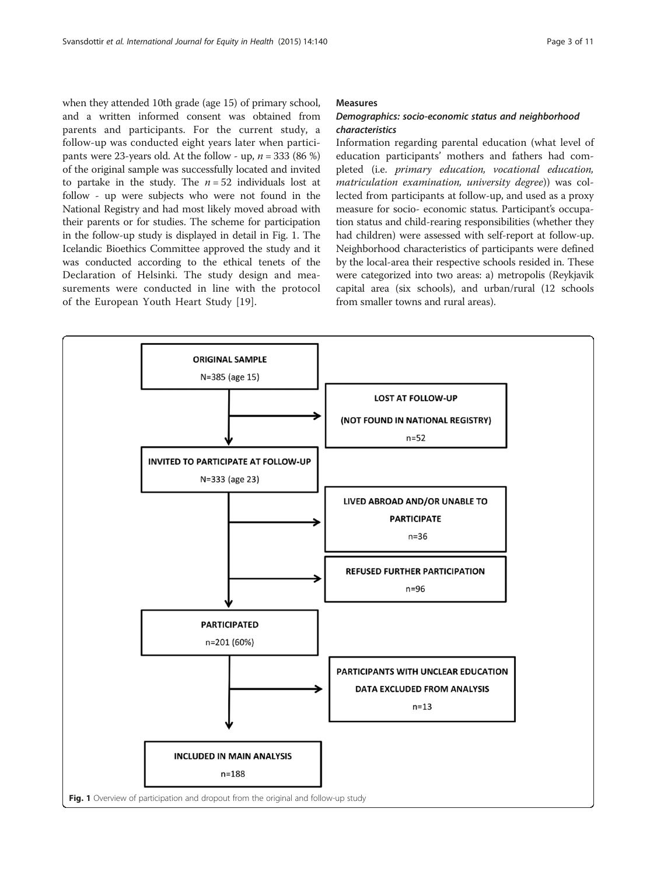when they attended 10th grade (age 15) of primary school, and a written informed consent was obtained from parents and participants. For the current study, a follow-up was conducted eight years later when participants were 23-years old. At the follow - up,  $n = 333$  (86 %) of the original sample was successfully located and invited to partake in the study. The  $n = 52$  individuals lost at follow - up were subjects who were not found in the National Registry and had most likely moved abroad with their parents or for studies. The scheme for participation in the follow-up study is displayed in detail in Fig. 1. The Icelandic Bioethics Committee approved the study and it was conducted according to the ethical tenets of the Declaration of Helsinki. The study design and measurements were conducted in line with the protocol of the European Youth Heart Study [\[19](#page-9-0)].

### **Measures**

# Demographics: socio-economic status and neighborhood characteristics

Information regarding parental education (what level of education participants' mothers and fathers had completed (i.e. primary education, vocational education, matriculation examination, university degree)) was collected from participants at follow-up, and used as a proxy measure for socio- economic status. Participant's occupation status and child-rearing responsibilities (whether they had children) were assessed with self-report at follow-up. Neighborhood characteristics of participants were defined by the local-area their respective schools resided in. These were categorized into two areas: a) metropolis (Reykjavik capital area (six schools), and urban/rural (12 schools from smaller towns and rural areas).

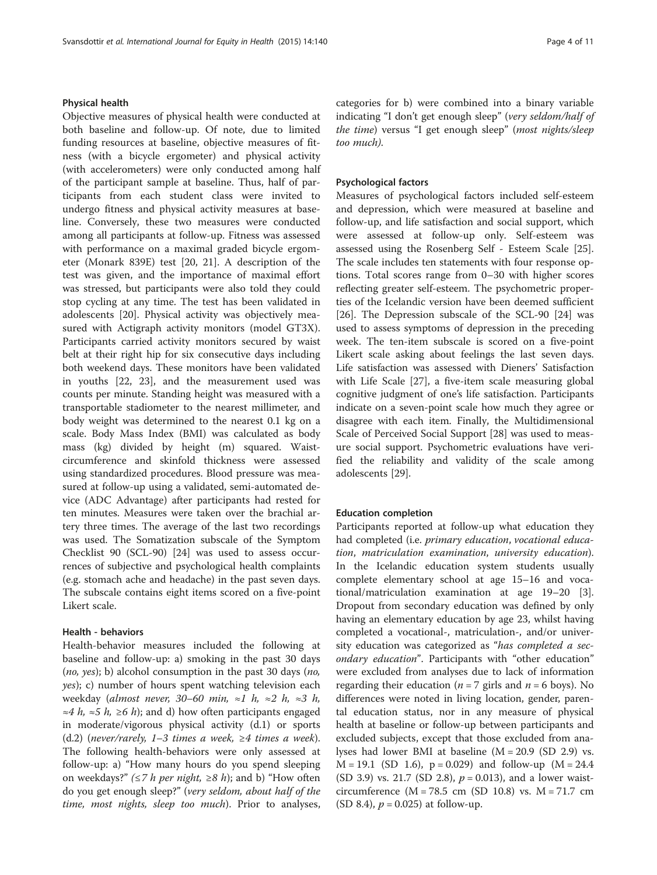# Physical health

Objective measures of physical health were conducted at both baseline and follow-up. Of note, due to limited funding resources at baseline, objective measures of fitness (with a bicycle ergometer) and physical activity (with accelerometers) were only conducted among half of the participant sample at baseline. Thus, half of participants from each student class were invited to undergo fitness and physical activity measures at baseline. Conversely, these two measures were conducted among all participants at follow-up. Fitness was assessed with performance on a maximal graded bicycle ergometer (Monark 839E) test [\[20](#page-9-0), [21\]](#page-9-0). A description of the test was given, and the importance of maximal effort was stressed, but participants were also told they could stop cycling at any time. The test has been validated in adolescents [\[20](#page-9-0)]. Physical activity was objectively measured with Actigraph activity monitors (model GT3X). Participants carried activity monitors secured by waist belt at their right hip for six consecutive days including both weekend days. These monitors have been validated in youths [[22, 23\]](#page-9-0), and the measurement used was counts per minute. Standing height was measured with a transportable stadiometer to the nearest millimeter, and body weight was determined to the nearest 0.1 kg on a scale. Body Mass Index (BMI) was calculated as body mass (kg) divided by height (m) squared. Waistcircumference and skinfold thickness were assessed using standardized procedures. Blood pressure was measured at follow-up using a validated, semi-automated device (ADC Advantage) after participants had rested for ten minutes. Measures were taken over the brachial artery three times. The average of the last two recordings was used. The Somatization subscale of the Symptom Checklist 90 (SCL-90) [[24\]](#page-9-0) was used to assess occurrences of subjective and psychological health complaints (e.g. stomach ache and headache) in the past seven days. The subscale contains eight items scored on a five-point Likert scale.

# Health - behaviors

Health-behavior measures included the following at baseline and follow-up: a) smoking in the past 30 days  $(no, yes)$ ; b) alcohol consumption in the past 30 days  $(no,$ yes); c) number of hours spent watching television each weekday (almost never, 30–60 min,  $\approx 1$  h,  $\approx 2$  h,  $\approx 3$  h, ≈4 *h*, ≈5 *h*, ≥6 *h*); and d) how often participants engaged in moderate/vigorous physical activity (d.1) or sports (d.2) (never/rarely, 1–3 times a week,  $\geq$ 4 times a week). The following health-behaviors were only assessed at follow-up: a) "How many hours do you spend sleeping on weekdays?" ( $\leq$ 7 *h per night*,  $\geq$ 8 *h*); and b) "How often do you get enough sleep?" (very seldom, about half of the time, most nights, sleep too much). Prior to analyses, categories for b) were combined into a binary variable indicating "I don't get enough sleep" (very seldom/half of the time) versus "I get enough sleep" (most nights/sleep too much).

# Psychological factors

Measures of psychological factors included self-esteem and depression, which were measured at baseline and follow-up, and life satisfaction and social support, which were assessed at follow-up only. Self-esteem was assessed using the Rosenberg Self - Esteem Scale [\[25](#page-9-0)]. The scale includes ten statements with four response options. Total scores range from 0–30 with higher scores reflecting greater self-esteem. The psychometric properties of the Icelandic version have been deemed sufficient [[26\]](#page-9-0). The Depression subscale of the SCL-90 [[24\]](#page-9-0) was used to assess symptoms of depression in the preceding week. The ten-item subscale is scored on a five-point Likert scale asking about feelings the last seven days. Life satisfaction was assessed with Dieners' Satisfaction with Life Scale [[27\]](#page-9-0), a five-item scale measuring global cognitive judgment of one's life satisfaction. Participants indicate on a seven-point scale how much they agree or disagree with each item. Finally, the Multidimensional Scale of Perceived Social Support [\[28\]](#page-9-0) was used to measure social support. Psychometric evaluations have verified the reliability and validity of the scale among adolescents [[29](#page-9-0)].

## Education completion

Participants reported at follow-up what education they had completed (i.e. primary education, vocational education, matriculation examination, university education). In the Icelandic education system students usually complete elementary school at age 15–16 and vocational/matriculation examination at age 19–20 [\[3](#page-9-0)]. Dropout from secondary education was defined by only having an elementary education by age 23, whilst having completed a vocational-, matriculation-, and/or university education was categorized as "has completed a secondary education". Participants with "other education" were excluded from analyses due to lack of information regarding their education ( $n = 7$  girls and  $n = 6$  boys). No differences were noted in living location, gender, parental education status, nor in any measure of physical health at baseline or follow-up between participants and excluded subjects, except that those excluded from analyses had lower BMI at baseline (M = 20.9 (SD 2.9) vs.  $M = 19.1$  (SD 1.6),  $p = 0.029$ ) and follow-up (M = 24.4)  $(SD 3.9)$  vs. 21.7  $(SD 2.8)$ ,  $p = 0.013$ ), and a lower waistcircumference ( $M = 78.5$  cm (SD 10.8) vs.  $M = 71.7$  cm (SD 8.4),  $p = 0.025$ ) at follow-up.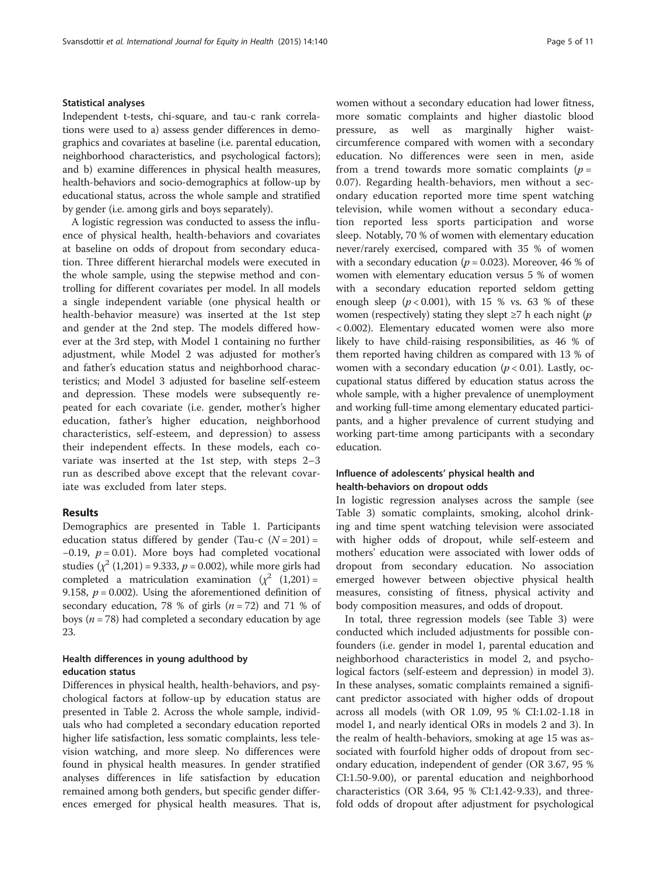## Statistical analyses

Independent t-tests, chi-square, and tau-c rank correlations were used to a) assess gender differences in demographics and covariates at baseline (i.e. parental education, neighborhood characteristics, and psychological factors); and b) examine differences in physical health measures, health-behaviors and socio-demographics at follow-up by educational status, across the whole sample and stratified by gender (i.e. among girls and boys separately).

A logistic regression was conducted to assess the influence of physical health, health-behaviors and covariates at baseline on odds of dropout from secondary education. Three different hierarchal models were executed in the whole sample, using the stepwise method and controlling for different covariates per model. In all models a single independent variable (one physical health or health-behavior measure) was inserted at the 1st step and gender at the 2nd step. The models differed however at the 3rd step, with Model 1 containing no further adjustment, while Model 2 was adjusted for mother's and father's education status and neighborhood characteristics; and Model 3 adjusted for baseline self-esteem and depression. These models were subsequently repeated for each covariate (i.e. gender, mother's higher education, father's higher education, neighborhood characteristics, self-esteem, and depression) to assess their independent effects. In these models, each covariate was inserted at the 1st step, with steps 2–3 run as described above except that the relevant covariate was excluded from later steps.

# Results

Demographics are presented in Table [1.](#page-5-0) Participants education status differed by gender (Tau-c  $(N = 201)$  =  $-0.19$ ,  $p = 0.01$ ). More boys had completed vocational studies  $(\chi^2 (1, 201) = 9.333, p = 0.002)$ , while more girls had completed a matriculation examination  $(\chi^2)(1,201)$  = 9.158,  $p = 0.002$ ). Using the aforementioned definition of secondary education, 78 % of girls  $(n = 72)$  and 71 % of boys ( $n = 78$ ) had completed a secondary education by age 23.

# Health differences in young adulthood by education status

Differences in physical health, health-behaviors, and psychological factors at follow-up by education status are presented in Table [2.](#page-6-0) Across the whole sample, individuals who had completed a secondary education reported higher life satisfaction, less somatic complaints, less television watching, and more sleep. No differences were found in physical health measures. In gender stratified analyses differences in life satisfaction by education remained among both genders, but specific gender differences emerged for physical health measures. That is, women without a secondary education had lower fitness, more somatic complaints and higher diastolic blood pressure, as well as marginally higher waistcircumference compared with women with a secondary education. No differences were seen in men, aside from a trend towards more somatic complaints ( $p =$ 0.07). Regarding health-behaviors, men without a secondary education reported more time spent watching television, while women without a secondary education reported less sports participation and worse sleep. Notably, 70 % of women with elementary education never/rarely exercised, compared with 35 % of women with a secondary education ( $p = 0.023$ ). Moreover, 46 % of women with elementary education versus 5 % of women with a secondary education reported seldom getting enough sleep  $(p < 0.001)$ , with 15 % vs. 63 % of these women (respectively) stating they slept  $\geq 7$  h each night (p < 0.002). Elementary educated women were also more likely to have child-raising responsibilities, as 46 % of them reported having children as compared with 13 % of women with a secondary education ( $p < 0.01$ ). Lastly, occupational status differed by education status across the whole sample, with a higher prevalence of unemployment and working full-time among elementary educated participants, and a higher prevalence of current studying and working part-time among participants with a secondary education.

# Influence of adolescents' physical health and health-behaviors on dropout odds

In logistic regression analyses across the sample (see Table [3](#page-7-0)) somatic complaints, smoking, alcohol drinking and time spent watching television were associated with higher odds of dropout, while self-esteem and mothers' education were associated with lower odds of dropout from secondary education. No association emerged however between objective physical health measures, consisting of fitness, physical activity and body composition measures, and odds of dropout.

In total, three regression models (see Table [3](#page-7-0)) were conducted which included adjustments for possible confounders (i.e. gender in model 1, parental education and neighborhood characteristics in model 2, and psychological factors (self-esteem and depression) in model 3). In these analyses, somatic complaints remained a significant predictor associated with higher odds of dropout across all models (with OR 1.09, 95 % CI:1.02-1.18 in model 1, and nearly identical ORs in models 2 and 3). In the realm of health-behaviors, smoking at age 15 was associated with fourfold higher odds of dropout from secondary education, independent of gender (OR 3.67, 95 % CI:1.50-9.00), or parental education and neighborhood characteristics (OR 3.64, 95 % CI:1.42-9.33), and threefold odds of dropout after adjustment for psychological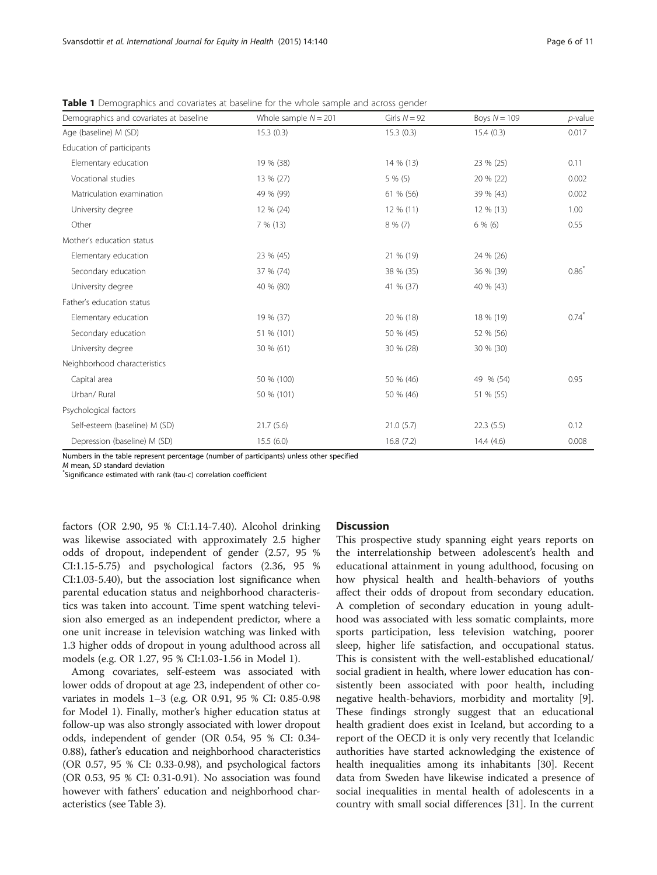| Demographics and covariates at baseline | Whole sample $N = 201$ | Girls $N = 92$ | Boys $N = 109$ | $p$ -value          |
|-----------------------------------------|------------------------|----------------|----------------|---------------------|
| Age (baseline) M (SD)                   | 15.3(0.3)              | 15.3(0.3)      | 15.4(0.3)      | 0.017               |
| Education of participants               |                        |                |                |                     |
| Elementary education                    | 19 % (38)              | 14 % (13)      | 23 % (25)      | 0.11                |
| Vocational studies                      | 13 % (27)              | $5\%$ (5)      | 20 % (22)      | 0.002               |
| Matriculation examination               | 49 % (99)              | 61 % (56)      | 39 % (43)      | 0.002               |
| University degree                       | 12 % (24)              | 12 % (11)      | 12 % (13)      | 1.00                |
| Other                                   | 7% (13)                | $8\%$ (7)      | 6% (6)         | 0.55                |
| Mother's education status               |                        |                |                |                     |
| Elementary education                    | 23 % (45)              | 21 % (19)      | 24 % (26)      |                     |
| Secondary education                     | 37 % (74)              | 38 % (35)      | 36 % (39)      | $0.86^{*}$          |
| University degree                       | 40 % (80)              | 41 % (37)      | 40 % (43)      |                     |
| Father's education status               |                        |                |                |                     |
| Elementary education                    | 19 % (37)              | 20 % (18)      | 18 % (19)      | $0.74$ <sup>*</sup> |
| Secondary education                     | 51 % (101)             | 50 % (45)      | 52 % (56)      |                     |
| University degree                       | 30 % (61)              | 30 % (28)      | 30 % (30)      |                     |
| Neighborhood characteristics            |                        |                |                |                     |
| Capital area                            | 50 % (100)             | 50 % (46)      | 49 % (54)      | 0.95                |
| Urban/ Rural                            | 50 % (101)             | 50 % (46)      | 51 % (55)      |                     |
| Psychological factors                   |                        |                |                |                     |
| Self-esteem (baseline) M (SD)           | 21.7(5.6)              | 21.0(5.7)      | 22.3(5.5)      | 0.12                |
| Depression (baseline) M (SD)            | 15.5(6.0)              | 16.8(7.2)      | 14.4(4.6)      | 0.008               |

<span id="page-5-0"></span>**Table 1** Demographics and covariates at baseline for the whole sample and across gender

Numbers in the table represent percentage (number of participants) unless other specified

 $M$  mean,  $SD$  standard deviation

Significance estimated with rank (tau-c) correlation coefficient

factors (OR 2.90, 95 % CI:1.14-7.40). Alcohol drinking was likewise associated with approximately 2.5 higher odds of dropout, independent of gender (2.57, 95 % CI:1.15-5.75) and psychological factors (2.36, 95 % CI:1.03-5.40), but the association lost significance when parental education status and neighborhood characteristics was taken into account. Time spent watching television also emerged as an independent predictor, where a one unit increase in television watching was linked with 1.3 higher odds of dropout in young adulthood across all models (e.g. OR 1.27, 95 % CI:1.03-1.56 in Model 1).

Among covariates, self-esteem was associated with lower odds of dropout at age 23, independent of other covariates in models 1–3 (e.g. OR 0.91, 95 % CI: 0.85-0.98 for Model 1). Finally, mother's higher education status at follow-up was also strongly associated with lower dropout odds, independent of gender (OR 0.54, 95 % CI: 0.34- 0.88), father's education and neighborhood characteristics (OR 0.57, 95 % CI: 0.33-0.98), and psychological factors (OR 0.53, 95 % CI: 0.31-0.91). No association was found however with fathers' education and neighborhood characteristics (see Table [3](#page-7-0)).

# **Discussion**

This prospective study spanning eight years reports on the interrelationship between adolescent's health and educational attainment in young adulthood, focusing on how physical health and health-behaviors of youths affect their odds of dropout from secondary education. A completion of secondary education in young adulthood was associated with less somatic complaints, more sports participation, less television watching, poorer sleep, higher life satisfaction, and occupational status. This is consistent with the well-established educational/ social gradient in health, where lower education has consistently been associated with poor health, including negative health-behaviors, morbidity and mortality [\[9](#page-9-0)]. These findings strongly suggest that an educational health gradient does exist in Iceland, but according to a report of the OECD it is only very recently that Icelandic authorities have started acknowledging the existence of health inequalities among its inhabitants [[30\]](#page-9-0). Recent data from Sweden have likewise indicated a presence of social inequalities in mental health of adolescents in a country with small social differences [[31\]](#page-9-0). In the current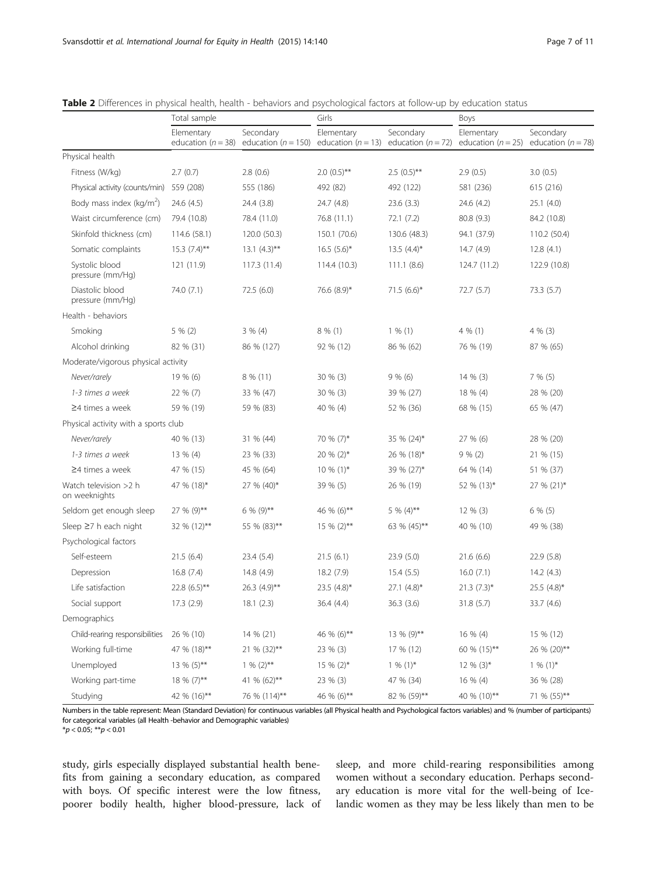|                                        | Total sample                         |                                                             | Girls                   |                                     | Boys                                 |                                     |
|----------------------------------------|--------------------------------------|-------------------------------------------------------------|-------------------------|-------------------------------------|--------------------------------------|-------------------------------------|
|                                        | Elementary<br>education ( $n = 38$ ) | Secondary<br>education ( $n = 150$ ) education ( $n = 13$ ) | Elementary              | Secondary<br>education ( $n = 72$ ) | Elementary<br>education ( $n = 25$ ) | Secondary<br>education ( $n = 78$ ) |
| Physical health                        |                                      |                                                             |                         |                                     |                                      |                                     |
| Fitness (W/kg)                         | 2.7(0.7)                             | 2.8(0.6)                                                    | $2.0(0.5)$ **           | $2.5(0.5)$ **                       | 2.9(0.5)                             | 3.0(0.5)                            |
| Physical activity (counts/min)         | 559 (208)                            | 555 (186)                                                   | 492 (82)                | 492 (122)                           | 581 (236)                            | 615 (216)                           |
| Body mass index ( $kg/m2$ )            | 24.6 (4.5)                           | 24.4 (3.8)                                                  | 24.7 (4.8)              | 23.6(3.3)                           | 24.6 (4.2)                           | 25.1(4.0)                           |
| Waist circumference (cm)               | 79.4 (10.8)                          | 78.4 (11.0)                                                 | 76.8 (11.1)             | 72.1(7.2)                           | 80.8 (9.3)                           | 84.2 (10.8)                         |
| Skinfold thickness (cm)                | 114.6 (58.1)                         | 120.0 (50.3)                                                | 150.1 (70.6)            | 130.6 (48.3)                        | 94.1 (37.9)                          | 110.2 (50.4)                        |
| Somatic complaints                     | $15.3$ $(7.4)$ **                    | $13.1 (4.3)$ **                                             | $16.5(5.6)^{*}$         | $13.5(4.4)^{*}$                     | 14.7(4.9)                            | 12.8(4.1)                           |
| Systolic blood<br>pressure (mm/Hg)     | 121 (11.9)                           | 117.3(11.4)                                                 | 114.4 (10.3)            | 111.1(8.6)                          | 124.7 (11.2)                         | 122.9 (10.8)                        |
| Diastolic blood<br>pressure (mm/Hg)    | 74.0 (7.1)                           | 72.5(6.0)                                                   | 76.6 (8.9)*             | 71.5 $(6.6)^*$                      | 72.7 (5.7)                           | 73.3(5.7)                           |
| Health - behaviors                     |                                      |                                                             |                         |                                     |                                      |                                     |
| Smoking                                | 5 % (2)                              | $3 \% (4)$                                                  | $8\%$ (1)               | $1\%$ (1)                           | $4\%$ (1)                            | $4\%$ (3)                           |
| Alcohol drinking                       | 82 % (31)                            | 86 % (127)                                                  | 92 % (12)               | 86 % (62)                           | 76 % (19)                            | 87 % (65)                           |
| Moderate/vigorous physical activity    |                                      |                                                             |                         |                                     |                                      |                                     |
| Never/rarely                           | 19 % (6)                             | $8\%$ (11)                                                  | $30 \% (3)$             | 9% (6)                              | $14\%$ (3)                           | 7% (5)                              |
| 1-3 times a week                       | 22 % (7)                             | 33 % (47)                                                   | $30 \% (3)$             | 39 % (27)                           | 18 % (4)                             | 28 % (20)                           |
| $\geq$ 4 times a week                  | 59 % (19)                            | 59 % (83)                                                   | 40 % (4)                | 52 % (36)                           | 68 % (15)                            | 65 % (47)                           |
| Physical activity with a sports club   |                                      |                                                             |                         |                                     |                                      |                                     |
| Never/rarely                           | 40 % (13)                            | 31 % (44)                                                   | 70 % (7)*               | 35 % (24)*                          | 27 % (6)                             | 28 % (20)                           |
| 1-3 times a week                       | 13 % (4)                             | 23 % (33)                                                   | 20 % (2)*               | 26 % (18)*                          | 9% (2)                               | 21 % (15)                           |
| $\geq$ 4 times a week                  | 47 % (15)                            | 45 % (64)                                                   | $10\%$ (1)*             | 39 % (27)*                          | 64 % (14)                            | 51 % (37)                           |
| Watch television >2 h<br>on weeknights | 47 % (18)*                           | 27 % (40)*                                                  | 39 % (5)                | 26 % (19)                           | 52 % (13)*                           | 27 % (21)*                          |
| Seldom get enough sleep                | 27 % (9)**                           | $6\% (9)$ **                                                | 46 % (6)**              | $5\%$ (4)**                         | 12 % (3)                             | $6\%$ (5)                           |
| Sleep $\geq$ 7 h each night            | 32 % (12)**                          | 55 % (83)**                                                 | $15 \% (2)$ **          | 63 % (45)**                         | 40 % (10)                            | 49 % (38)                           |
| Psychological factors                  |                                      |                                                             |                         |                                     |                                      |                                     |
| Self-esteem                            | 21.5(6.4)                            | 23.4(5.4)                                                   | 21.5(6.1)               | 23.9(5.0)                           | 21.6(6.6)                            | 22.9(5.8)                           |
| Depression                             | 16.8(7.4)                            | 14.8 (4.9)                                                  | 18.2(7.9)               | 15.4(5.5)                           | 16.0(7.1)                            | 14.2(4.3)                           |
| Life satisfaction                      | 22.8 (6.5)**                         | 26.3 (4.9)**                                                | 23.5 $(4.8)$ *          | $27.1$ $(4.8)$ *                    | $21.3(7.3)$ *                        | 25.5 (4.8)*                         |
| Social support                         | 17.3(2.9)                            | 18.1(2.3)                                                   | 36.4 (4.4)              | 36.3 (3.6)                          | 31.8 (5.7)                           | 33.7 (4.6)                          |
| Demographics                           |                                      |                                                             |                         |                                     |                                      |                                     |
| Child-rearing responsibilities         | 26 % (10)                            | 14 % (21)                                                   | 46 % (6)**              | 13 % (9)**                          | 16 % (4)                             | 15 % (12)                           |
| Working full-time                      | 47 % (18)**                          | 21 % (32)**                                                 | 23 % (3)                | 17 % (12)                           | 60 % (15)**                          | 26 % (20)**                         |
| Unemployed                             | $13\%$ (5)**                         | $1\%$ (2)**                                                 | $15\%$ (2) <sup>*</sup> | $1\% (1)^*$                         | $12\%$ (3)*                          | $1\% (1)^*$                         |
| Working part-time                      | 18 % (7)**                           | 41 % (62)**                                                 | 23 % (3)                | 47 % (34)                           | 16 % (4)                             | 36 % (28)                           |
| Studying                               | 42 % (16)**                          | 76 % (114)**                                                | 46 % (6)**              | 82 % (59)**                         | 40 % (10)**                          | 71 % (55)**                         |

<span id="page-6-0"></span>Table 2 Differences in physical health, health - behaviors and psychological factors at follow-up by education status

Numbers in the table represent: Mean (Standard Deviation) for continuous variables (all Physical health and Psychological factors variables) and % (number of participants) for categorical variables (all Health -behavior and Demographic variables)

 $*p < 0.05; **p < 0.01$ 

study, girls especially displayed substantial health benefits from gaining a secondary education, as compared with boys. Of specific interest were the low fitness, poorer bodily health, higher blood-pressure, lack of sleep, and more child-rearing responsibilities among women without a secondary education. Perhaps secondary education is more vital for the well-being of Icelandic women as they may be less likely than men to be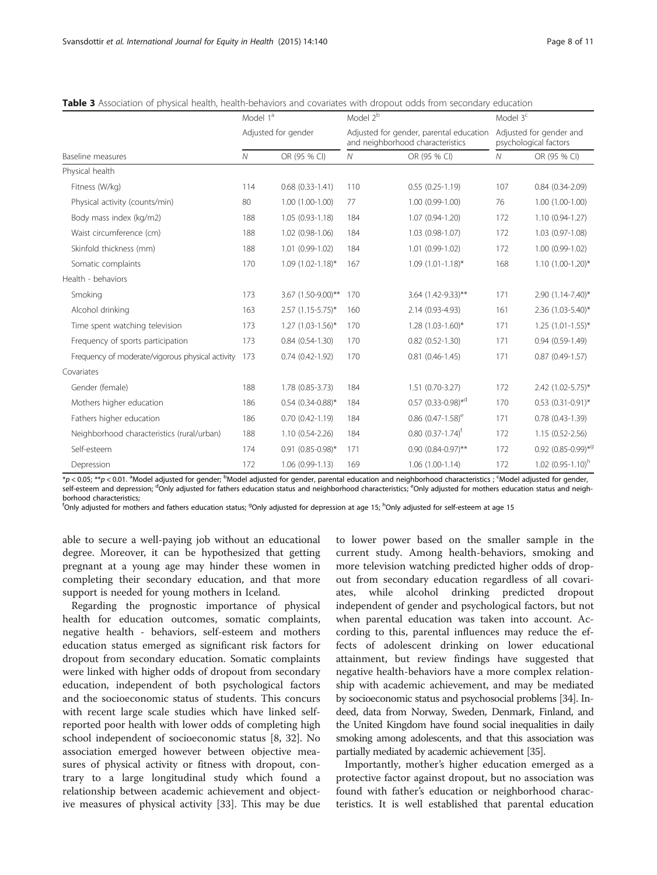|                                                  | Model 1 <sup>ª</sup> |                          | Model 2 <sup>b</sup> |                                                                             | Model $3c$ |                                                  |  |
|--------------------------------------------------|----------------------|--------------------------|----------------------|-----------------------------------------------------------------------------|------------|--------------------------------------------------|--|
| Baseline measures                                |                      | Adjusted for gender      |                      | Adjusted for gender, parental education<br>and neighborhood characteristics |            | Adjusted for gender and<br>psychological factors |  |
|                                                  |                      | OR (95 % CI)             | Ν                    | OR (95 % CI)                                                                | N          | OR (95 % CI)                                     |  |
| Physical health                                  |                      |                          |                      |                                                                             |            |                                                  |  |
| Fitness (W/kg)                                   | 114                  | $0.68$ $(0.33 - 1.41)$   | 110                  | $0.55(0.25-1.19)$                                                           | 107        | $0.84(0.34-2.09)$                                |  |
| Physical activity (counts/min)                   | 80                   | $1.00(1.00-1.00)$        | 77                   | $1.00(0.99-1.00)$                                                           | 76         | $1.00(1.00-1.00)$                                |  |
| Body mass index (kg/m2)                          | 188                  | $1.05(0.93 - 1.18)$      | 184                  | 1.07 (0.94-1.20)                                                            | 172        | 1.10 (0.94-1.27)                                 |  |
| Waist circumference (cm)                         | 188                  | 1.02 (0.98-1.06)         | 184                  | 1.03 (0.98-1.07)                                                            | 172        | 1.03 (0.97-1.08)                                 |  |
| Skinfold thickness (mm)                          | 188                  | 1.01 (0.99-1.02)         | 184                  | 1.01 (0.99-1.02)                                                            | 172        | 1.00 (0.99-1.02)                                 |  |
| Somatic complaints                               | 170                  | $1.09$ $(1.02 - 1.18)^*$ | 167                  | $1.09(1.01-1.18)$ *                                                         | 168        | $1.10(1.00-1.20)$ *                              |  |
| Health - behaviors                               |                      |                          |                      |                                                                             |            |                                                  |  |
| Smoking                                          | 173                  | 3.67 (1.50-9.00)**       | 170                  | 3.64 (1.42-9.33)**                                                          | 171        | 2.90 (1.14-7.40)*                                |  |
| Alcohol drinking                                 | 163                  | $2.57$ (1.15-5.75)*      | 160                  | 2.14 (0.93-4.93)                                                            | 161        | 2.36 (1.03-5.40)*                                |  |
| Time spent watching television                   | 173                  | $1.27$ (1.03-1.56)*      | 170                  | $1.28(1.03-1.60)$ *                                                         | 171        | $1.25$ $(1.01 - 1.55)^*$                         |  |
| Frequency of sports participation                | 173                  | $0.84(0.54-1.30)$        | 170                  | $0.82$ $(0.52 - 1.30)$                                                      | 171        | $0.94(0.59-1.49)$                                |  |
| Frequency of moderate/vigorous physical activity | 173                  | $0.74(0.42 - 1.92)$      | 170                  | $0.81(0.46 - 1.45)$                                                         | 171        | $0.87(0.49-1.57)$                                |  |
| Covariates                                       |                      |                          |                      |                                                                             |            |                                                  |  |
| Gender (female)                                  | 188                  | 1.78 (0.85-3.73)         | 184                  | 1.51 (0.70-3.27)                                                            | 172        | 2.42 (1.02-5.75)*                                |  |
| Mothers higher education                         | 186                  | $0.54$ (0.34-0.88)*      | 184                  | $0.57$ (0.33-0.98) <sup>*d</sup>                                            | 170        | $0.53$ $(0.31-0.91)$ *                           |  |
| Fathers higher education                         | 186                  | $0.70(0.42 - 1.19)$      | 184                  | 0.86 $(0.47 - 1.58)$ <sup>e</sup>                                           | 171        | $0.78(0.43-1.39)$                                |  |
| Neighborhood characteristics (rural/urban)       | 188                  | $1.10(0.54 - 2.26)$      | 184                  | $0.80(0.37 - 1.74)^t$                                                       | 172        | 1.15 (0.52-2.56)                                 |  |
| Self-esteem                                      | 174                  | $0.91$ $(0.85 - 0.98)^*$ | 171                  | $0.90(0.84 - 0.97)$ **                                                      | 172        | $0.92$ (0.85-0.99) <sup>*9</sup>                 |  |
| Depression                                       | 172                  | $1.06(0.99-1.13)$        | 169                  | $1.06(1.00-1.14)$                                                           | 172        | $1.02$ (0.95-1.10) <sup>h</sup>                  |  |

<span id="page-7-0"></span>

|  |  |  |  | <b>Table 3</b> Association of physical health, health-behaviors and covariates with dropout odds from secondary education |
|--|--|--|--|---------------------------------------------------------------------------------------------------------------------------|
|--|--|--|--|---------------------------------------------------------------------------------------------------------------------------|

 $*_\mathcal{P}$  < 0.05;  $^{**_\mathcal{P}}$  < 0.01. <sup>a</sup>Model adjusted for gender; <sup>b</sup>Model adjusted for gender, parental education and neighborhood characteristics ; <sup>c</sup>Model adjusted for gender, self-esteem and depression; <sup>d</sup>Only adjusted for fathers education status and neighborhood characteristics; <sup>e</sup>Only adjusted for mothers education status and neighborhood characteristics;

<sup>f</sup>Only adjusted for mothers and fathers education status; <sup>g</sup>Only adjusted for depression at age 15; <sup>h</sup>Only adjusted for self-esteem at age 15

able to secure a well-paying job without an educational degree. Moreover, it can be hypothesized that getting pregnant at a young age may hinder these women in completing their secondary education, and that more support is needed for young mothers in Iceland.

Regarding the prognostic importance of physical health for education outcomes, somatic complaints, negative health - behaviors, self-esteem and mothers education status emerged as significant risk factors for dropout from secondary education. Somatic complaints were linked with higher odds of dropout from secondary education, independent of both psychological factors and the socioeconomic status of students. This concurs with recent large scale studies which have linked selfreported poor health with lower odds of completing high school independent of socioeconomic status [\[8](#page-9-0), [32\]](#page-9-0). No association emerged however between objective measures of physical activity or fitness with dropout, contrary to a large longitudinal study which found a relationship between academic achievement and objective measures of physical activity [[33](#page-9-0)]. This may be due to lower power based on the smaller sample in the current study. Among health-behaviors, smoking and more television watching predicted higher odds of dropout from secondary education regardless of all covariates, while alcohol drinking predicted dropout independent of gender and psychological factors, but not when parental education was taken into account. According to this, parental influences may reduce the effects of adolescent drinking on lower educational attainment, but review findings have suggested that negative health-behaviors have a more complex relationship with academic achievement, and may be mediated by socioeconomic status and psychosocial problems [\[34](#page-9-0)]. Indeed, data from Norway, Sweden, Denmark, Finland, and the United Kingdom have found social inequalities in daily smoking among adolescents, and that this association was partially mediated by academic achievement [[35\]](#page-9-0).

Importantly, mother's higher education emerged as a protective factor against dropout, but no association was found with father's education or neighborhood characteristics. It is well established that parental education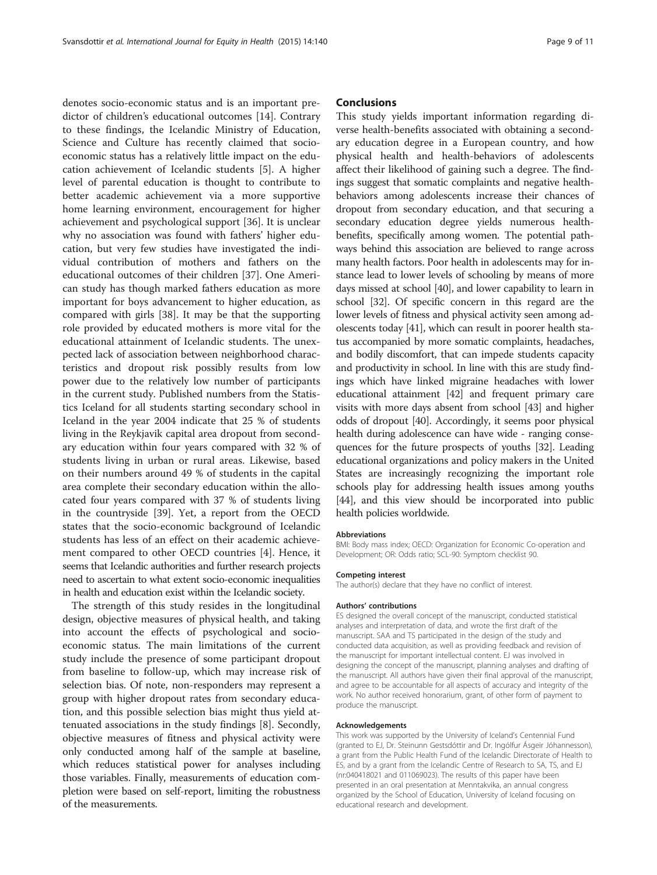denotes socio-economic status and is an important predictor of children's educational outcomes [\[14](#page-9-0)]. Contrary to these findings, the Icelandic Ministry of Education, Science and Culture has recently claimed that socioeconomic status has a relatively little impact on the education achievement of Icelandic students [\[5](#page-9-0)]. A higher level of parental education is thought to contribute to better academic achievement via a more supportive home learning environment, encouragement for higher achievement and psychological support [[36\]](#page-9-0). It is unclear why no association was found with fathers' higher education, but very few studies have investigated the individual contribution of mothers and fathers on the educational outcomes of their children [\[37](#page-9-0)]. One American study has though marked fathers education as more important for boys advancement to higher education, as compared with girls [[38\]](#page-9-0). It may be that the supporting role provided by educated mothers is more vital for the educational attainment of Icelandic students. The unexpected lack of association between neighborhood characteristics and dropout risk possibly results from low power due to the relatively low number of participants in the current study. Published numbers from the Statistics Iceland for all students starting secondary school in Iceland in the year 2004 indicate that 25 % of students living in the Reykjavik capital area dropout from secondary education within four years compared with 32 % of students living in urban or rural areas. Likewise, based on their numbers around 49 % of students in the capital area complete their secondary education within the allocated four years compared with 37 % of students living in the countryside [\[39](#page-9-0)]. Yet, a report from the OECD states that the socio-economic background of Icelandic students has less of an effect on their academic achievement compared to other OECD countries [[4\]](#page-9-0). Hence, it seems that Icelandic authorities and further research projects need to ascertain to what extent socio-economic inequalities in health and education exist within the Icelandic society.

The strength of this study resides in the longitudinal design, objective measures of physical health, and taking into account the effects of psychological and socioeconomic status. The main limitations of the current study include the presence of some participant dropout from baseline to follow-up, which may increase risk of selection bias. Of note, non-responders may represent a group with higher dropout rates from secondary education, and this possible selection bias might thus yield attenuated associations in the study findings [\[8](#page-9-0)]. Secondly, objective measures of fitness and physical activity were only conducted among half of the sample at baseline, which reduces statistical power for analyses including those variables. Finally, measurements of education completion were based on self-report, limiting the robustness of the measurements.

# Conclusions

This study yields important information regarding diverse health-benefits associated with obtaining a secondary education degree in a European country, and how physical health and health-behaviors of adolescents affect their likelihood of gaining such a degree. The findings suggest that somatic complaints and negative healthbehaviors among adolescents increase their chances of dropout from secondary education, and that securing a secondary education degree yields numerous healthbenefits, specifically among women. The potential pathways behind this association are believed to range across many health factors. Poor health in adolescents may for instance lead to lower levels of schooling by means of more days missed at school [[40](#page-9-0)], and lower capability to learn in school [[32](#page-9-0)]. Of specific concern in this regard are the lower levels of fitness and physical activity seen among adolescents today [\[41\]](#page-9-0), which can result in poorer health status accompanied by more somatic complaints, headaches, and bodily discomfort, that can impede students capacity and productivity in school. In line with this are study findings which have linked migraine headaches with lower educational attainment [[42](#page-10-0)] and frequent primary care visits with more days absent from school [[43](#page-10-0)] and higher odds of dropout [[40](#page-9-0)]. Accordingly, it seems poor physical health during adolescence can have wide - ranging consequences for the future prospects of youths [\[32](#page-9-0)]. Leading educational organizations and policy makers in the United States are increasingly recognizing the important role schools play for addressing health issues among youths [[44](#page-10-0)], and this view should be incorporated into public health policies worldwide.

#### Abbreviations

BMI: Body mass index; OECD: Organization for Economic Co-operation and Development; OR: Odds ratio; SCL-90: Symptom checklist 90.

#### Competing interest

The author(s) declare that they have no conflict of interest.

#### Authors' contributions

ES designed the overall concept of the manuscript, conducted statistical analyses and interpretation of data, and wrote the first draft of the manuscript. SAA and TS participated in the design of the study and conducted data acquisition, as well as providing feedback and revision of the manuscript for important intellectual content. EJ was involved in designing the concept of the manuscript, planning analyses and drafting of the manuscript. All authors have given their final approval of the manuscript, and agree to be accountable for all aspects of accuracy and integrity of the work. No author received honorarium, grant, of other form of payment to produce the manuscript.

#### Acknowledgements

This work was supported by the University of Iceland's Centennial Fund (granted to EJ, Dr. Steinunn Gestsdóttir and Dr. Ingólfur Ásgeir Jóhannesson), a grant from the Public Health Fund of the Icelandic Directorate of Health to ES, and by a grant from the Icelandic Centre of Research to SA, TS, and EJ (nr:040418021 and 011069023). The results of this paper have been presented in an oral presentation at Menntakvika, an annual congress organized by the School of Education, University of Iceland focusing on educational research and development.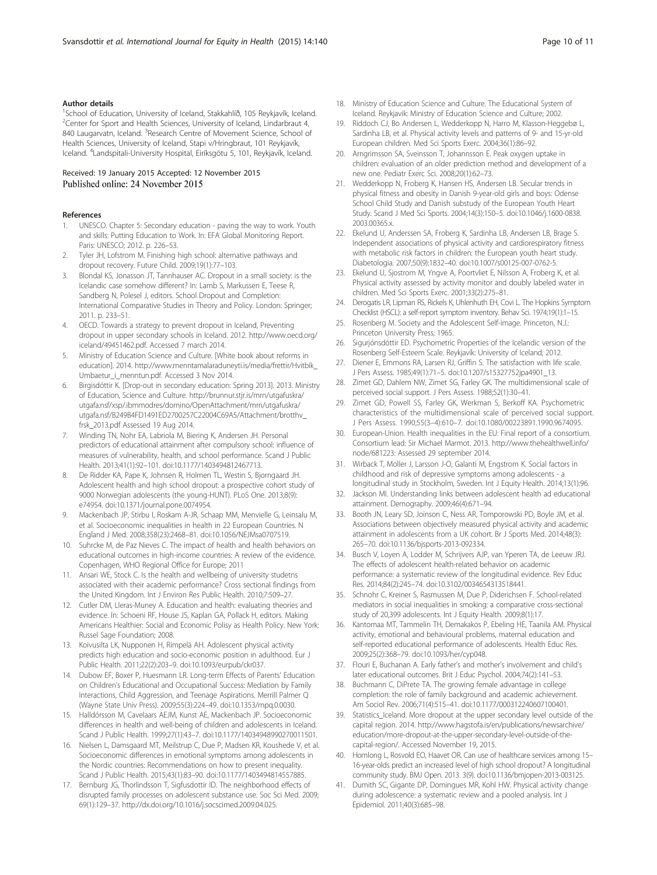#### <span id="page-9-0"></span>Author details

<sup>1</sup>School of Education, University of Iceland, Stakkahlíð, 105 Reykjavík, Iceland. <sup>2</sup> Center for Sport and Health Sciences, University of Iceland, Lindarbraut 4, 840 Laugarvatn, Iceland. <sup>3</sup>Research Centre of Movement Science, School of Health Sciences, University of Iceland, Stapi v/Hringbraut, 101 Reykjavík, Iceland. <sup>4</sup>Landspitali-University Hospital, Eiríksgötu 5, 101, Reykjavík, Iceland.

# Received: 19 January 2015 Accepted: 12 November 2015 Published online: 24 November 2015

# References

- 1. UNESCO. Chapter 5: Secondary education paving the way to work. Youth and skills: Putting Education to Work. In: EFA Global Monitoring Report. Paris: UNESCO; 2012. p. 226–53.
- 2. Tyler JH, Lofstrom M. Finishing high school: alternative pathways and dropout recovery. Future Child. 2009;19(1):77–103.
- 3. Blondal KS, Jonasson JT, Tannhauser AC. Dropout in a small society: is the Icelandic case somehow different? In: Lamb S, Markussen E, Teese R, Sandberg N, Polesel J, editors. School Dropout and Completion: International Comparative Studies in Theory and Policy. London: Springer; 2011. p. 233–51.
- 4. OECD. Towards a strategy to prevent dropout in Iceland, Preventing dropout in upper secondary schools in Iceland. 2012. [http://www.oecd.org/](http://www.oecd.org/iceland/49451462.pdf) [iceland/49451462.pdf.](http://www.oecd.org/iceland/49451462.pdf) Accessed 7 march 2014.
- 5. Ministry of Education Science and Culture. [White book about reforms in education]. 2014. [http://www.menntamalaraduneyti.is/media/frettir/Hvitbik\\_](http://www.menntamalaraduneyti.is/media/frettir/Hvitbik_Umbaetur_i_menntun.pdf) [Umbaetur\\_i\\_menntun.pdf](http://www.menntamalaraduneyti.is/media/frettir/Hvitbik_Umbaetur_i_menntun.pdf). Accessed 3 Nov 2014.
- 6. Birgisdóttir K. [Drop-out in secondary education: Spring 2013]. 2013. Ministry of Education, Science and Culture. [http://brunnur.stjr.is/mrn/utgafuskra/](http://brunnur.stjr.is/mrn/utgafuskra/utgafa.nsf/xsp/.ibmmodres/domino/OpenAttachment/mrn/utgafuskra/utgafa.nsf/B249B4FD1491ED2700257C22004C69A5/Attachment/brotthv_frsk_2013.pdf) [utgafa.nsf/xsp/.ibmmodres/domino/OpenAttachment/mrn/utgafuskra/](http://brunnur.stjr.is/mrn/utgafuskra/utgafa.nsf/xsp/.ibmmodres/domino/OpenAttachment/mrn/utgafuskra/utgafa.nsf/B249B4FD1491ED2700257C22004C69A5/Attachment/brotthv_frsk_2013.pdf) [utgafa.nsf/B249B4FD1491ED2700257C22004C69A5/Attachment/brotthv\\_](http://brunnur.stjr.is/mrn/utgafuskra/utgafa.nsf/xsp/.ibmmodres/domino/OpenAttachment/mrn/utgafuskra/utgafa.nsf/B249B4FD1491ED2700257C22004C69A5/Attachment/brotthv_frsk_2013.pdf) [frsk\\_2013.pdf](http://brunnur.stjr.is/mrn/utgafuskra/utgafa.nsf/xsp/.ibmmodres/domino/OpenAttachment/mrn/utgafuskra/utgafa.nsf/B249B4FD1491ED2700257C22004C69A5/Attachment/brotthv_frsk_2013.pdf) Assessed 19 Aug 2014.
- 7. Winding TN, Nohr EA, Labriola M, Biering K, Andersen JH. Personal predictors of educational attainment after compulsory school: influence of measures of vulnerability, health, and school performance. Scand J Public Health. 2013;41(1):92–101. doi:[10.1177/1403494812467713](http://dx.doi.org/10.1177/1403494812467713).
- 8. De Ridder KA, Pape K, Johnsen R, Holmen TL, Westin S, Bjorngaard JH. Adolescent health and high school dropout: a prospective cohort study of 9000 Norwegian adolescents (the young-HUNT). PLoS One. 2013;8(9): e74954. doi:[10.1371/journal.pone.0074954.](http://dx.doi.org/10.1371/journal.pone.0074954)
- 9. Mackenbach JP, Stirbu I, Roskam A-JR, Schaap MM, Menvielle G, Leinsalu M, et al. Socioeconomic inequalities in health in 22 European Countries. N England J Med. 2008;358(23):2468–81. doi[:10.1056/NEJMsa0707519.](http://dx.doi.org/10.1056/NEJMsa0707519)
- 10. Suhrcke M, de Paz Nieves C. The impact of health and health behaviors on educational outcomes in high-income countries: A review of the evidence. Copenhagen, WHO Regional Office for Europe; 2011
- 11. Ansari WE, Stock C. Is the health and wellbeing of university studetns associated with their academic performance? Cross sectional findings from the United Kingdom. Int J Environ Res Public Health. 2010;7:509–27.
- 12. Cutler DM, Lleras-Muney A. Education and health: evaluating theories and evidence. In: Schoeni RF, House JS, Kaplan GA, Pollack H, editors. Making Americans Healthier: Social and Economic Polisy as Health Policy. New York: Russel Sage Foundation; 2008.
- 13. Koivusilta LK, Nupponen H, Rimpelä AH. Adolescent physical activity predicts high education and socio-economic position in adulthood. Eur J Public Health. 2011;22(2):203–9. doi:[10.1093/eurpub/ckr037](http://dx.doi.org/10.1093/eurpub/ckr037).
- 14. Dubow EF, Boxer P, Huesmann LR. Long-term Effects of Parents' Education on Children's Educational and Occupational Success: Mediation by Family Interactions, Child Aggression, and Teenage Aspirations. Merrill Palmer Q (Wayne State Univ Press). 2009;55(3):224–49. doi:[10.1353/mpq.0.0030](http://dx.doi.org/10.1353/mpq.0.0030).
- 15. Halldórsson M, Cavelaars AEJM, Kunst AE, Mackenbach JP. Socioeconomic differences in health and well-being of children and adolescents in Iceland. Scand J Public Health. 1999;27(1):43–7. doi[:10.1177/14034948990270011501.](http://dx.doi.org/10.1177/14034948990270011501)
- 16. Nielsen L, Damsgaard MT, Meilstrup C, Due P, Madsen KR, Koushede V, et al. Socioeconomic differences in emotional symptoms among adolescents in the Nordic countries: Recommendations on how to present inequality. Scand J Public Health. 2015;43(1):83–90. doi:[10.1177/1403494814557885](http://dx.doi.org/10.1177/1403494814557885).
- 17. Bernburg JG, Thorlindsson T, Sigfusdottir ID. The neighborhood effects of disrupted family processes on adolescent substance use. Soc Sci Med. 2009; 69(1):129–37. http://dx.doi.org[/10.1016/j.socscimed.2009.04.025](http://dx.doi.org/10.1016/j.socscimed.2009.04.025).
- 18. Ministry of Education Science and Culture. The Educational System of Iceland. Reykjavik: Ministry of Education Science and Culture; 2002.
- 19. Riddoch CJ, Bo Andersen L, Wedderkopp N, Harro M, Klasson-Heggebø L, Sardinha LB, et al. Physical activity levels and patterns of 9- and 15-yr-old European children. Med Sci Sports Exerc. 2004;36(1):86–92.
- 20. Arngrimsson SA, Sveinsson T, Johannsson E. Peak oxygen uptake in children: evaluation of an older prediction method and development of a new one. Pediatr Exerc Sci. 2008;20(1):62–73.
- 21. Wedderkopp N, Froberg K, Hansen HS, Andersen LB. Secular trends in physical fitness and obesity in Danish 9-year-old girls and boys: Odense School Child Study and Danish substudy of the European Youth Heart Study. Scand J Med Sci Sports. 2004;14(3):150–5. doi:[10.1046/j.1600-0838.](http://dx.doi.org/10.1046/j.1600-0838.2003.00365.x) [2003.00365.x.](http://dx.doi.org/10.1046/j.1600-0838.2003.00365.x)
- 22. Ekelund U, Anderssen SA, Froberg K, Sardinha LB, Andersen LB, Brage S. Independent associations of physical activity and cardiorespiratory fitness with metabolic risk factors in children: the European youth heart study. Diabetologia. 2007;50(9):1832–40. doi:[10.1007/s00125-007-0762-5](http://dx.doi.org/10.1007/s00125-007-0762-5).
- 23. Ekelund U, Sjostrom M, Yngve A, Poortvliet E, Nilsson A, Froberg K, et al. Physical activity assessed by activity monitor and doubly labeled water in children. Med Sci Sports Exerc. 2001;33(2):275–81.
- 24. Derogatis LR, Lipman RS, Rickels K, Uhlenhuth EH, Covi L. The Hopkins Symptom Checklist (HSCL): a self-report symptom inventory. Behav Sci. 1974;19(1):1–15.
- 25. Rosenberg M. Society and the Adolescent Self-image. Princeton, N.J.: Princeton University Press; 1965.
- 26. Sigurjónsdóttir ED. Psychometric Properties of the Icelandic version of the Rosenberg Self-Esteem Scale. Reykjavík: University of Iceland; 2012.
- 27. Diener E, Emmons RA, Larsen RJ, Griffin S. The satisfaction with life scale. J Pers Assess. 1985;49(1):71–5. doi:[10.1207/s15327752jpa4901\\_13](http://dx.doi.org/10.1207/s15327752jpa4901_13).
- 28. Zimet GD, Dahlem NW, Zimet SG, Farley GK. The multidimensional scale of perceived social support. J Pers Assess. 1988;52(1):30–41.
- 29. Zimet GD, Powell SS, Farley GK, Werkman S, Berkoff KA. Psychometric characteristics of the multidimensional scale of perceived social support. J Pers Assess. 1990;55(3–4):610–7. doi[:10.1080/00223891.1990.9674095](http://dx.doi.org/10.1080/00223891.1990.9674095).
- 30. European-Union. Health inequalities in the EU: Final report of a consortium. Consortium lead: Sir Michael Marmot. 2013. [http://www.thehealthwell.info/](http://www.thehealthwell.info/node/681223) [node/681223:](http://www.thehealthwell.info/node/681223) Assessed 29 september 2014.
- 31. Wirback T, Moller J, Larsson J-O, Galanti M, Engstrom K. Social factors in childhood and risk of depressive symptoms among adolescents - a longitudinal study in Stockholm, Sweden. Int J Equity Health. 2014;13(1):96.
- 32. Jackson MI. Understanding links between adolescent health ad educational attainment. Demography. 2009;46(4):671–94.
- 33. Booth JN, Leary SD, Joinson C, Ness AR, Tomporowski PD, Boyle JM, et al. Associations between objectively measured physical activity and academic attainment in adolescents from a UK cohort. Br J Sports Med. 2014;48(3): 265–70. doi:[10.1136/bjsports-2013-092334.](http://dx.doi.org/10.1136/bjsports-2013-092334)
- 34. Busch V, Loyen A, Lodder M, Schrijvers AJP, van Yperen TA, de Leeuw JRJ. The effects of adolescent health-related behavior on academic performance: a systematic review of the longitudinal evidence. Rev Educ Res. 2014;84(2):245–74. doi:[10.3102/0034654313518441.](http://dx.doi.org/10.3102/0034654313518441)
- 35. Schnohr C, Kreiner S, Rasmussen M, Due P, Diderichsen F. School-related mediators in social inequalities in smoking: a comparative cross-sectional study of 20,399 adolescents. Int J Equity Health. 2009;8(1):17.
- 36. Kantomaa MT, Tammelin TH, Demakakos P, Ebeling HE, Taanila AM. Physical activity, emotional and behavioural problems, maternal education and self-reported educational performance of adolescents. Health Educ Res. 2009;25(2):368–79. doi:[10.1093/her/cyp048](http://dx.doi.org/10.1093/her/cyp048).
- 37. Flouri E, Buchanan A. Early father's and mother's involvement and child's later educational outcomes. Brit J Educ Psychol. 2004;74(2):141–53.
- 38. Buchmann C, DiPrete TA. The growing female advantage in college completion: the role of family background and academic achievement. Am Sociol Rev. 2006;71(4):515–41. doi:[10.1177/000312240607100401](http://dx.doi.org/10.1177/000312240607100401).
- 39. Statistics\_Iceland. More dropout at the upper secondary level outside of the capital region. 2014. [http://www.hagstofa.is/en/publications/newsarchive/](http://www.hagstofa.is/en/publications/newsarchive/education/more-dropout-at-the-upper-secondary-level-outside-of-the-capital-region/) [education/more-dropout-at-the-upper-secondary-level-outside-of-the](http://www.hagstofa.is/en/publications/newsarchive/education/more-dropout-at-the-upper-secondary-level-outside-of-the-capital-region/)[capital-region/](http://www.hagstofa.is/en/publications/newsarchive/education/more-dropout-at-the-upper-secondary-level-outside-of-the-capital-region/). Accessed November 19, 2015.
- 40. Homlong L, Rosvold EO, Haavet OR. Can use of healthcare services among 15– 16-year-olds predict an increased level of high school dropout? A longitudinal community study. BMJ Open. 2013. 3(9). doi:[10.1136/bmjopen-2013-003125.](http://dx.doi.org/10.1136/bmjopen-2013-003125)
- 41. Dumith SC, Gigante DP, Domingues MR, Kohl HW. Physical activity change during adolescence: a systematic review and a pooled analysis. Int J Epidemiol. 2011;40(3):685–98.